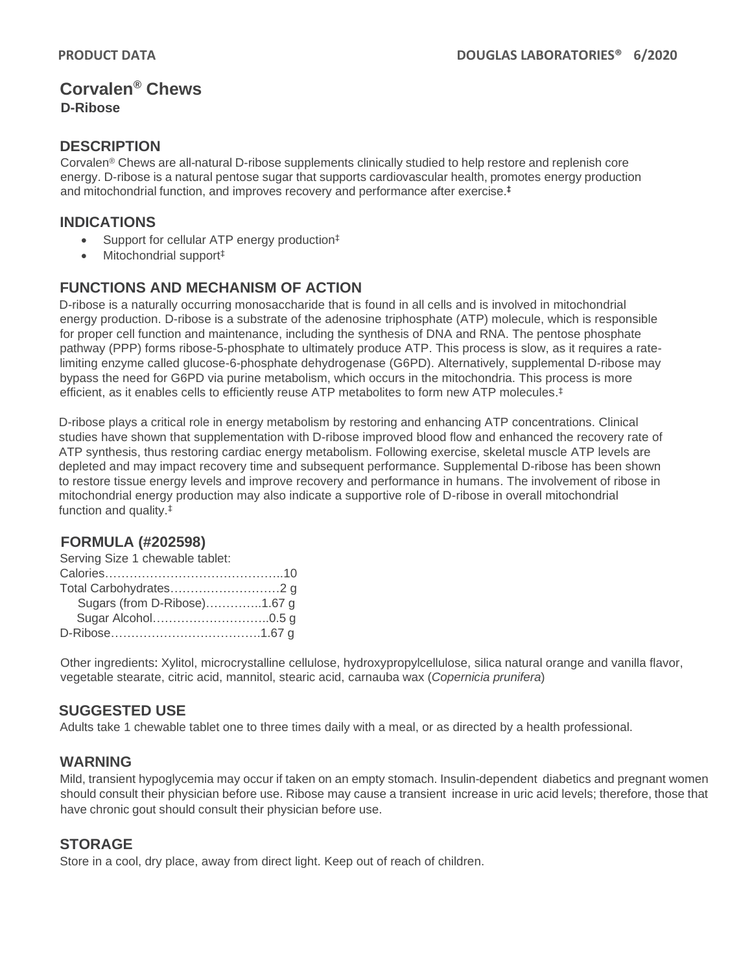# **Corvalen® Chews D-Ribose**

## **DESCRIPTION**

Corvalen® Chews are all-natural D-ribose supplements clinically studied to help restore and replenish core energy. D-ribose is a natural pentose sugar that supports cardiovascular health, promotes energy production and mitochondrial function, and improves recovery and performance after exercise. ‡

## **INDICATIONS**

- Support for cellular ATP energy production<sup>‡</sup>
- Mitochondrial support‡

### **FUNCTIONS AND MECHANISM OF ACTION**

D-ribose is a naturally occurring monosaccharide that is found in all cells and is involved in mitochondrial energy production. D-ribose is a substrate of the adenosine triphosphate (ATP) molecule, which is responsible for proper cell function and maintenance, including the synthesis of DNA and RNA. The pentose phosphate pathway (PPP) forms ribose-5-phosphate to ultimately produce ATP. This process is slow, as it requires a ratelimiting enzyme called glucose-6-phosphate dehydrogenase (G6PD). Alternatively, supplemental D-ribose may bypass the need for G6PD via purine metabolism, which occurs in the mitochondria. This process is more efficient, as it enables cells to efficiently reuse ATP metabolites to form new ATP molecules. ‡

D-ribose plays a critical role in energy metabolism by restoring and enhancing ATP concentrations. Clinical studies have shown that supplementation with D-ribose improved blood flow and enhanced the recovery rate of ATP synthesis, thus restoring cardiac energy metabolism. Following exercise, skeletal muscle ATP levels are depleted and may impact recovery time and subsequent performance. Supplemental D-ribose has been shown to restore tissue energy levels and improve recovery and performance in humans. The involvement of ribose in mitochondrial energy production may also indicate a supportive role of D-ribose in overall mitochondrial function and quality.‡

#### **FORMULA (#202598)**

| Serving Size 1 chewable tablet: |  |
|---------------------------------|--|
|                                 |  |
|                                 |  |
| Sugars (from D-Ribose)1.67 g    |  |
|                                 |  |
|                                 |  |

Other ingredients: Xylitol, microcrystalline cellulose, hydroxypropylcellulose, silica natural orange and vanilla flavor, vegetable stearate, citric acid, mannitol, stearic acid, carnauba wax (*Copernicia prunifera*)

#### **SUGGESTED USE**

Adults take 1 chewable tablet one to three times daily with a meal, or as directed by a health professional.

## **WARNING**

Mild, transient hypoglycemia may occur if taken on an empty stomach. Insulin-dependent diabetics and pregnant women should consult their physician before use. Ribose may cause a transient increase in uric acid levels; therefore, those that have chronic gout should consult their physician before use.

## **STORAGE**

Store in a cool, dry place, away from direct light. Keep out of reach of children.